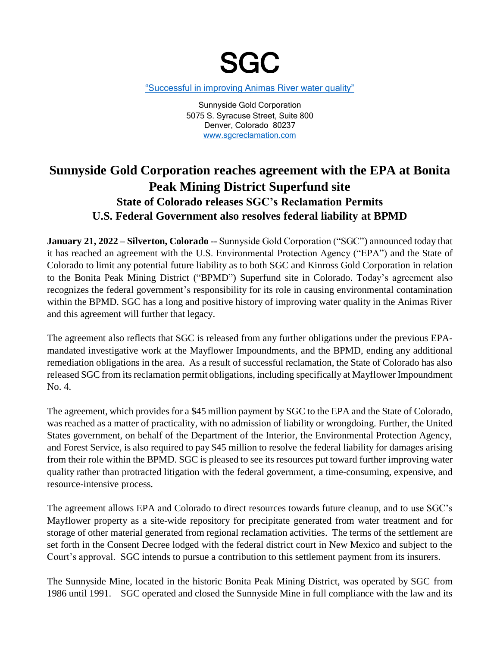

["Successful in improving Animas River water quality"](http://www.sgcreclamation.com/reports/Figure_1_Water_Quality_Before_adn_After_SGCs_Acquisition.pdf)

Sunnyside Gold Corporation 5075 S. Syracuse Street, Suite 800 Denver, Colorado 80237 [www.sgcreclamation.com](http://www.sgcreclamation.com/)

## **Sunnyside Gold Corporation reaches agreement with the EPA at Bonita Peak Mining District Superfund site State of Colorado releases SGC's Reclamation Permits U.S. Federal Government also resolves federal liability at BPMD**

**January 21, 2022 – Silverton, Colorado** -- Sunnyside Gold Corporation ("SGC") announced today that it has reached an agreement with the U.S. Environmental Protection Agency ("EPA") and the State of Colorado to limit any potential future liability as to both SGC and Kinross Gold Corporation in relation to the Bonita Peak Mining District ("BPMD") Superfund site in Colorado. Today's agreement also recognizes the federal government's responsibility for its role in causing environmental contamination within the BPMD. SGC has a long and positive history of improving water quality in the Animas River and this agreement will further that legacy.

The agreement also reflects that SGC is released from any further obligations under the previous EPAmandated investigative work at the Mayflower Impoundments, and the BPMD, ending any additional remediation obligations in the area. As a result of successful reclamation, the State of Colorado has also released SGC from its reclamation permit obligations, including specifically at Mayflower Impoundment No. 4.

The agreement, which provides for a \$45 million payment by SGC to the EPA and the State of Colorado, was reached as a matter of practicality, with no admission of liability or wrongdoing. Further, the United States government, on behalf of the Department of the Interior, the Environmental Protection Agency, and Forest Service, is also required to pay \$45 million to resolve the federal liability for damages arising from their role within the BPMD. SGC is pleased to see its resources put toward further improving water quality rather than protracted litigation with the federal government, a time-consuming, expensive, and resource-intensive process.

The agreement allows EPA and Colorado to direct resources towards future cleanup, and to use SGC's Mayflower property as a site-wide repository for precipitate generated from water treatment and for storage of other material generated from regional reclamation activities. The terms of the settlement are set forth in the Consent Decree lodged with the federal district court in New Mexico and subject to the Court's approval. SGC intends to pursue a contribution to this settlement payment from its insurers.

The Sunnyside Mine, located in the historic Bonita Peak Mining District, was operated by SGC from 1986 until 1991. SGC operated and closed the Sunnyside Mine in full compliance with the law and its